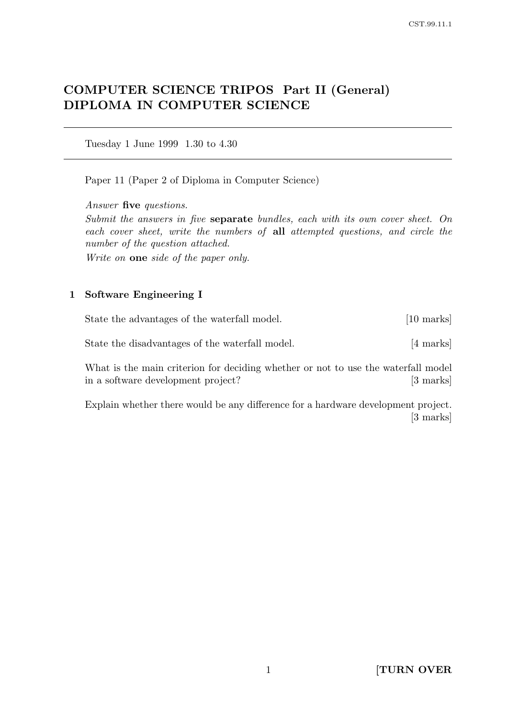# COMPUTER SCIENCE TRIPOS Part II (General) DIPLOMA IN COMPUTER SCIENCE

Tuesday 1 June 1999 1.30 to 4.30

Paper 11 (Paper 2 of Diploma in Computer Science)

Answer five questions.

Submit the answers in five separate bundles, each with its own cover sheet. On each cover sheet, write the numbers of all attempted questions, and circle the number of the question attached.

Write on one side of the paper only.

#### 1 Software Engineering I

State the advantages of the waterfall model. [10 marks]

State the disadvantages of the waterfall model. [4 marks]

What is the main criterion for deciding whether or not to use the waterfall model in a software development project? [3 marks]

Explain whether there would be any difference for a hardware development project. [3 marks]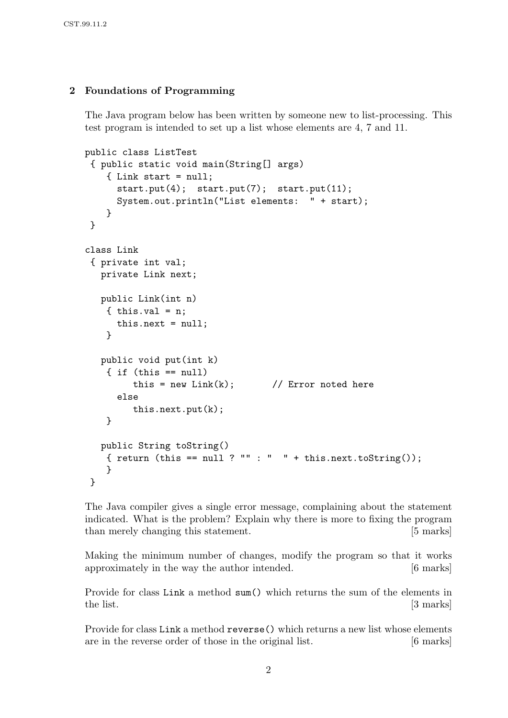# 2 Foundations of Programming

The Java program below has been written by someone new to list-processing. This test program is intended to set up a list whose elements are 4, 7 and 11.

```
public class ListTest
 { public static void main(String[] args)
    { Link start = null;
      start.put(4); start.put(7); start.put(11);
      System.out.println("List elements: " + start);
    }
}
class Link
 { private int val;
  private Link next;
  public Link(int n)
    \{ this.val = n;
     this.next = null;
    }
  public void put(int k)
    \{ if (this == null)this = new Link(k); // Error noted here
      else
         this.next.put(k);
    }
  public String toString()
    { return (this == null ? "" : " " + this.next.toString());
    }
}
```
The Java compiler gives a single error message, complaining about the statement indicated. What is the problem? Explain why there is more to fixing the program than merely changing this statement. [5 marks]

Making the minimum number of changes, modify the program so that it works approximately in the way the author intended. [6 marks]

Provide for class Link a method sum() which returns the sum of the elements in the list. [3 marks]

Provide for class Link a method reverse() which returns a new list whose elements are in the reverse order of those in the original list. [6 marks]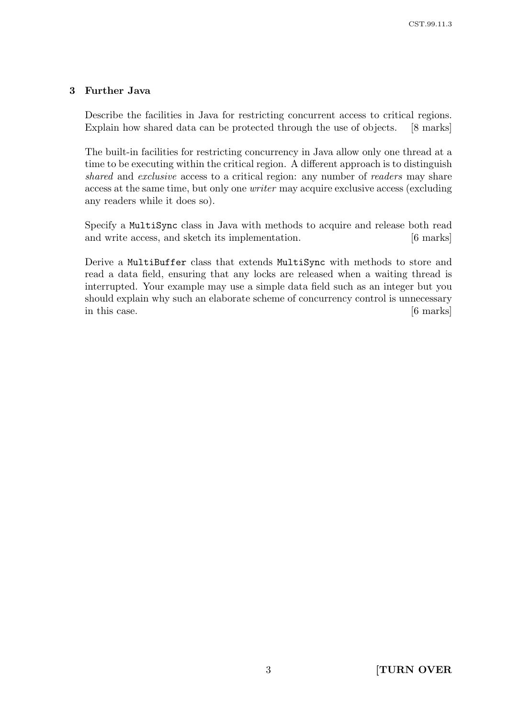# 3 Further Java

Describe the facilities in Java for restricting concurrent access to critical regions. Explain how shared data can be protected through the use of objects. [8 marks]

The built-in facilities for restricting concurrency in Java allow only one thread at a time to be executing within the critical region. A different approach is to distinguish shared and exclusive access to a critical region: any number of readers may share access at the same time, but only one writer may acquire exclusive access (excluding any readers while it does so).

Specify a MultiSync class in Java with methods to acquire and release both read and write access, and sketch its implementation. [6 marks]

Derive a MultiBuffer class that extends MultiSync with methods to store and read a data field, ensuring that any locks are released when a waiting thread is interrupted. Your example may use a simple data field such as an integer but you should explain why such an elaborate scheme of concurrency control is unnecessary in this case. [6 marks]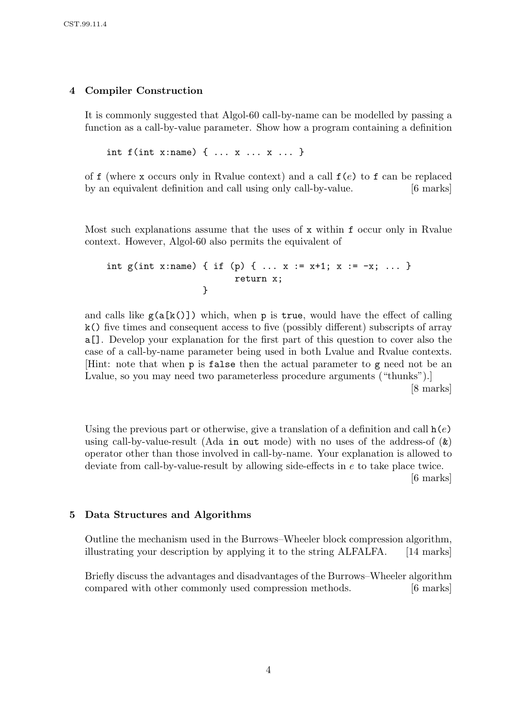# 4 Compiler Construction

It is commonly suggested that Algol-60 call-by-name can be modelled by passing a function as a call-by-value parameter. Show how a program containing a definition

int f(int x:name) { ... x ... x ... }

of f (where x occurs only in Ryalue context) and a call  $f(e)$  to f can be replaced by an equivalent definition and call using only call-by-value. [6 marks]

Most such explanations assume that the uses of x within f occur only in Rvalue context. However, Algol-60 also permits the equivalent of

```
int g(int x:name) { if (p) { ... x := x+1; x := -x; ... }
                        return x;
                  }
```
and calls like  $g(a[k()])$  which, when p is true, would have the effect of calling k() five times and consequent access to five (possibly different) subscripts of array a[]. Develop your explanation for the first part of this question to cover also the case of a call-by-name parameter being used in both Lvalue and Rvalue contexts. [Hint: note that when p is false then the actual parameter to g need not be an Lvalue, so you may need two parameterless procedure arguments ("thunks").

[8 marks]

Using the previous part or otherwise, give a translation of a definition and call  $h(e)$ using call-by-value-result (Ada in out mode) with no uses of the address-of  $(\&)$ operator other than those involved in call-by-name. Your explanation is allowed to deviate from call-by-value-result by allowing side-effects in e to take place twice. [6 marks]

#### 5 Data Structures and Algorithms

Outline the mechanism used in the Burrows–Wheeler block compression algorithm, illustrating your description by applying it to the string ALFALFA. [14 marks]

Briefly discuss the advantages and disadvantages of the Burrows–Wheeler algorithm compared with other commonly used compression methods. [6 marks]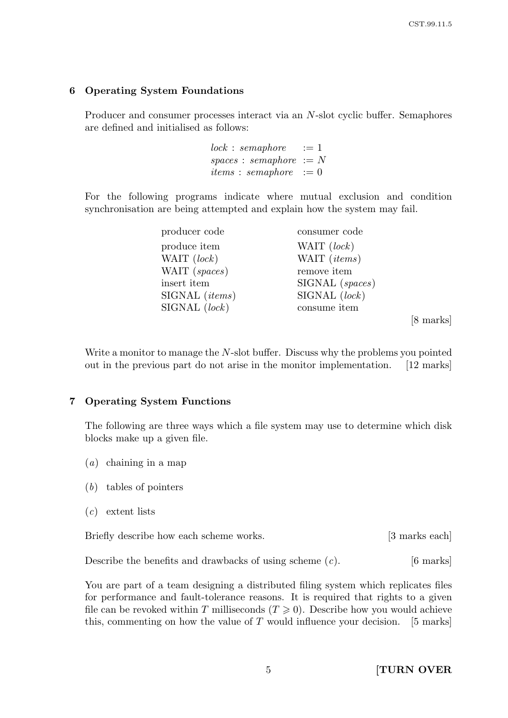### 6 Operating System Foundations

Producer and consumer processes interact via an N-slot cyclic buffer. Semaphores are defined and initialised as follows:

> $lock: semaphore := 1$  $spaces: semaphore := N$ *items* : *semaphore*  $:= 0$

For the following programs indicate where mutual exclusion and condition synchronisation are being attempted and explain how the system may fail.

| producer code           | consumer code     |
|-------------------------|-------------------|
| produce item            | WAIT (lock)       |
| WAIT (lock)             | WAIT (items)      |
| WAIT (spaces)           | remove item       |
| insert item             | $SIGNAL$ (spaces) |
| SIGNAL ( <i>items</i> ) | SIGNAL (lock)     |
| SIGNAL (lock)           | consume item      |
|                         |                   |

[8 marks]

Write a monitor to manage the N-slot buffer. Discuss why the problems you pointed out in the previous part do not arise in the monitor implementation. [12 marks]

#### 7 Operating System Functions

The following are three ways which a file system may use to determine which disk blocks make up a given file.

- (a) chaining in a map
- (b) tables of pointers
- $(c)$  extent lists

Briefly describe how each scheme works. [3 marks each]

Describe the benefits and drawbacks of using scheme  $(c)$ . [6 marks]

You are part of a team designing a distributed filing system which replicates files for performance and fault-tolerance reasons. It is required that rights to a given file can be revoked within T milliseconds  $(T \geq 0)$ . Describe how you would achieve this, commenting on how the value of  $T$  would influence your decision. [5 marks]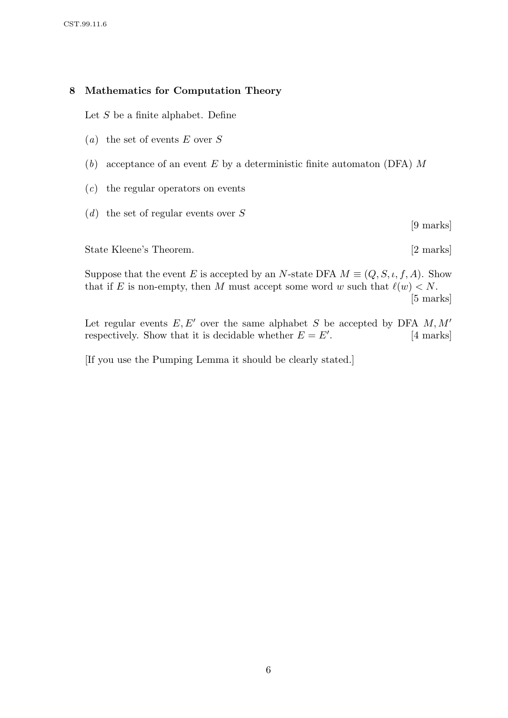## 8 Mathematics for Computation Theory

Let  $S$  be a finite alphabet. Define

- (*a*) the set of events  $E$  over  $S$
- (b) acceptance of an event  $E$  by a deterministic finite automaton (DFA)  $M$
- (c) the regular operators on events
- $(d)$  the set of regular events over S

[9 marks]

State Kleene's Theorem. [2 marks]

Suppose that the event E is accepted by an N-state DFA  $M \equiv (Q, S, \iota, f, A)$ . Show that if E is non-empty, then M must accept some word w such that  $\ell(w) < N$ . [5 marks]

Let regular events  $E, E'$  over the same alphabet S be accepted by DFA  $M, M'$ respectively. Show that it is decidable whether  $E = E'$ . [4 marks]

[If you use the Pumping Lemma it should be clearly stated.]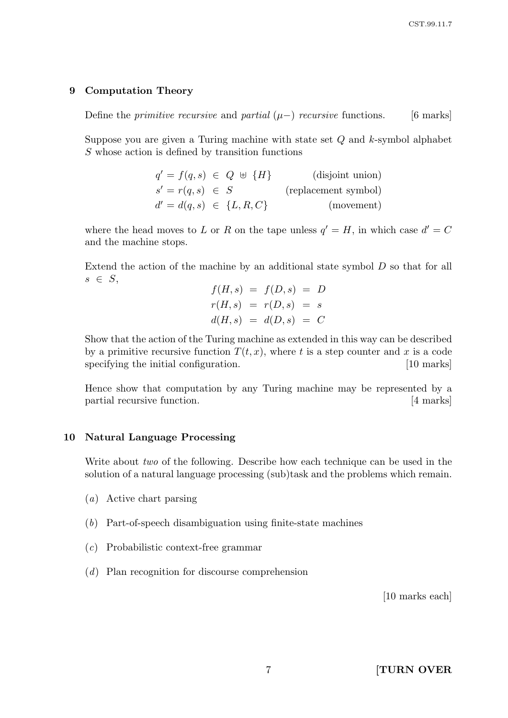#### 9 Computation Theory

Define the *primitive recursive* and *partial*  $(\mu-)$  *recursive* functions. [6 marks]

Suppose you are given a Turing machine with state set  $Q$  and  $k$ -symbol alphabet S whose action is defined by transition functions

| $q' = f(q, s) \in Q \; \uplus \; \{H\}$ |  | (disjoint union)     |
|-----------------------------------------|--|----------------------|
| $s' = r(q, s) \in S$                    |  | (replacement symbol) |
| $d' = d(q, s) \in \{L, R, C\}$          |  | (movement)           |

where the head moves to L or R on the tape unless  $q' = H$ , in which case  $d' = C$ and the machine stops.

Extend the action of the machine by an additional state symbol D so that for all  $s \in S$ ,

$$
f(H, s) = f(D, s) = D
$$
  

$$
r(H, s) = r(D, s) = s
$$
  

$$
d(H, s) = d(D, s) = C
$$

Show that the action of the Turing machine as extended in this way can be described by a primitive recursive function  $T(t, x)$ , where t is a step counter and x is a code specifying the initial configuration. [10 marks]

Hence show that computation by any Turing machine may be represented by a partial recursive function. [4 marks]

#### 10 Natural Language Processing

Write about *two* of the following. Describe how each technique can be used in the solution of a natural language processing (sub)task and the problems which remain.

- (a) Active chart parsing
- (b) Part-of-speech disambiguation using finite-state machines
- (c) Probabilistic context-free grammar
- (d) Plan recognition for discourse comprehension

[10 marks each]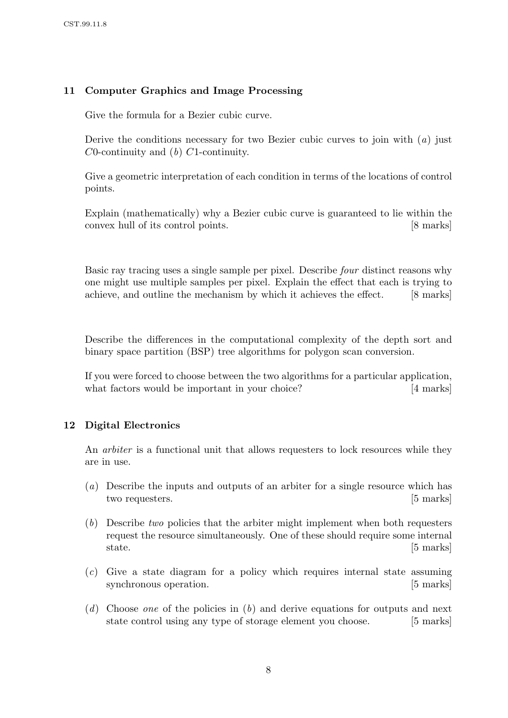# 11 Computer Graphics and Image Processing

Give the formula for a Bezier cubic curve.

Derive the conditions necessary for two Bezier cubic curves to join with  $(a)$  just  $C0$ -continuity and  $(b)$   $C1$ -continuity.

Give a geometric interpretation of each condition in terms of the locations of control points.

Explain (mathematically) why a Bezier cubic curve is guaranteed to lie within the convex hull of its control points. [8 marks]

Basic ray tracing uses a single sample per pixel. Describe four distinct reasons why one might use multiple samples per pixel. Explain the effect that each is trying to achieve, and outline the mechanism by which it achieves the effect. [8 marks]

Describe the differences in the computational complexity of the depth sort and binary space partition (BSP) tree algorithms for polygon scan conversion.

If you were forced to choose between the two algorithms for a particular application, what factors would be important in your choice? [4 marks]

# 12 Digital Electronics

An arbiter is a functional unit that allows requesters to lock resources while they are in use.

- (a) Describe the inputs and outputs of an arbiter for a single resource which has two requesters. [5 marks]
- (b) Describe two policies that the arbiter might implement when both requesters request the resource simultaneously. One of these should require some internal state. [5 marks]
- (c) Give a state diagram for a policy which requires internal state assuming synchronous operation. [5 marks]
- (d) Choose one of the policies in (b) and derive equations for outputs and next state control using any type of storage element you choose. [5 marks]